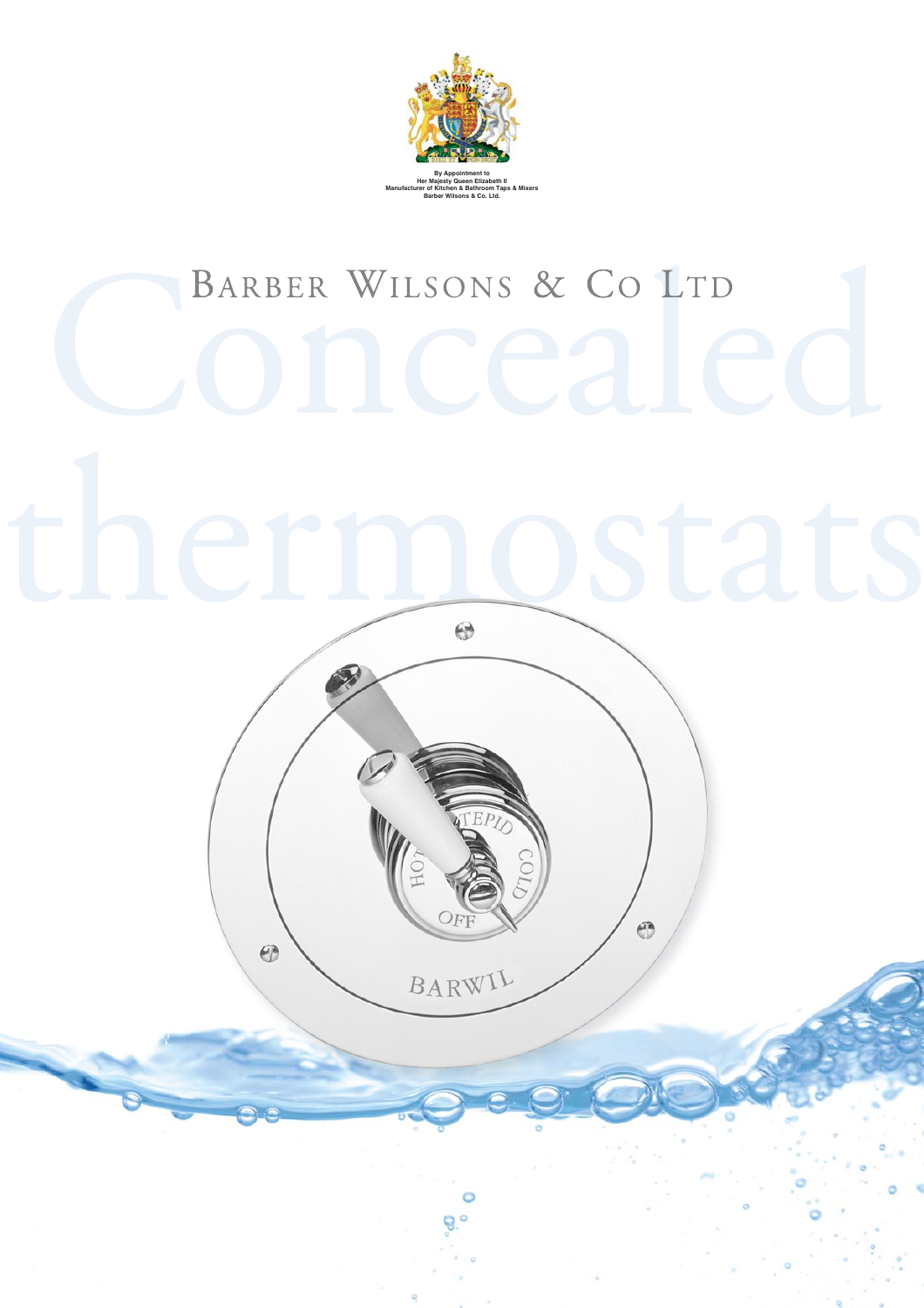

# BARBER WILSONS & CO LTD





 $\bigoplus$ 

C ę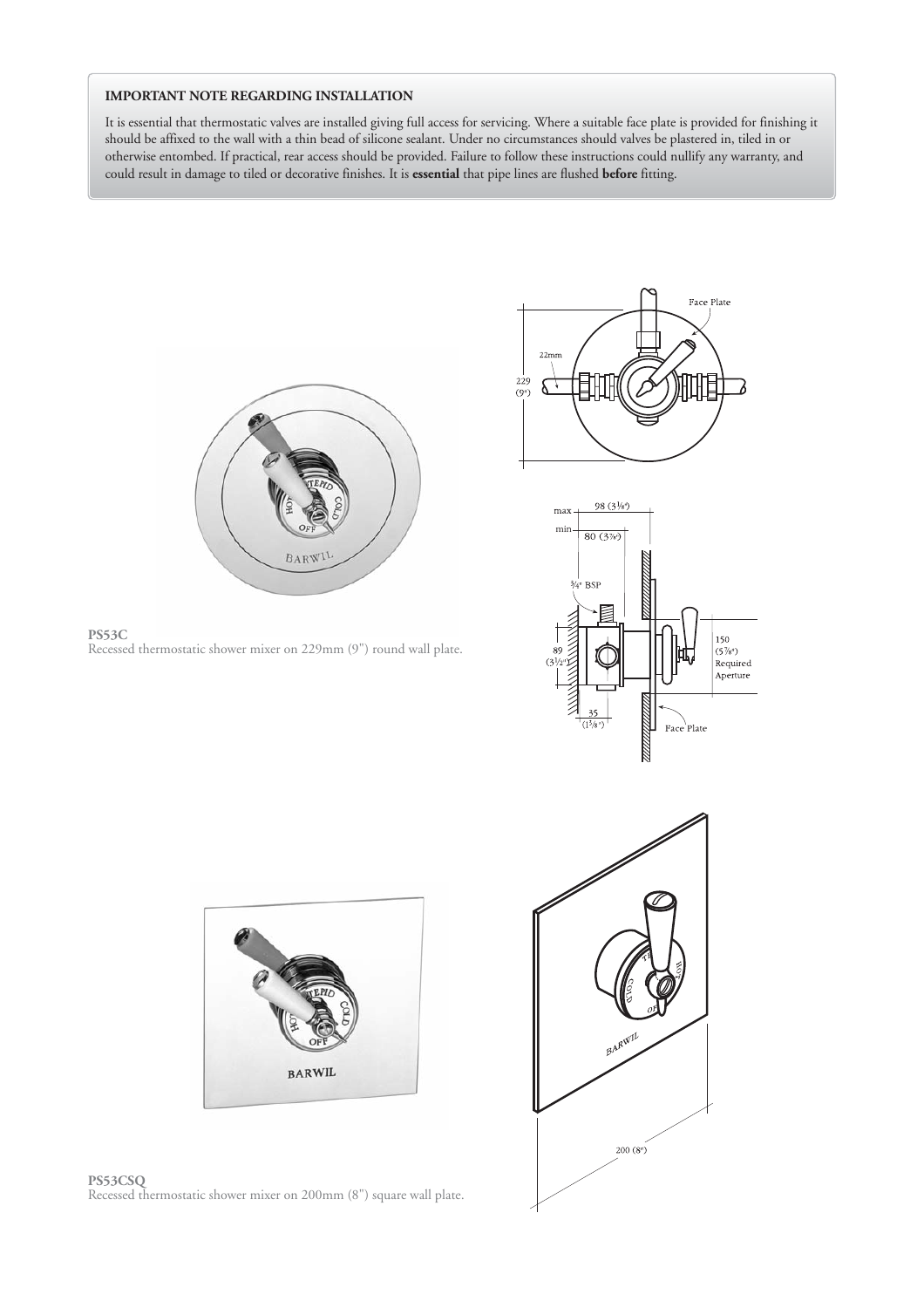### **IMPORTANT NOTE REGARDING INSTALLATION**

It is essential that thermostatic valves are installed giving full access for servicing. Where a suitable face plate is provided for finishing it should be affixed to the wall with a thin bead of silicone sealant. Under no circumstances should valves be plastered in, tiled in or otherwise entombed. If practical, rear access should be provided. Failure to follow these instructions could nullify any warranty, and could result in damage to tiled or decorative finishes. It is **essential** that pipe lines are flushed **before** fitting.











**PS53CSQ** Recessed thermostatic shower mixer on 200mm (8") square wall plate.

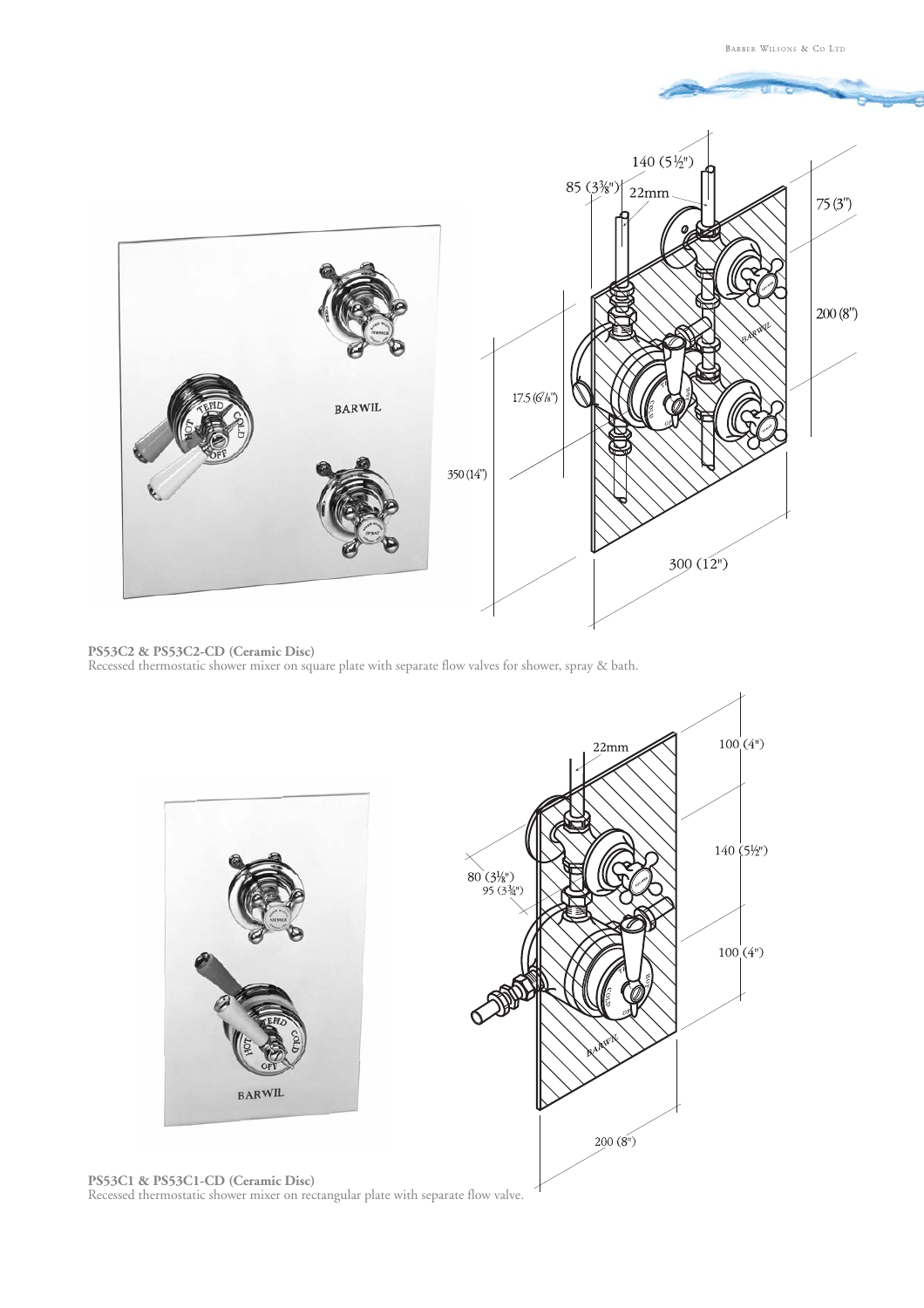

**PS53C2 & PS53C2-CD (Ceramic Disc)** Recessed thermostatic shower mixer on square plate with separate flow valves for shower, spray & bath.